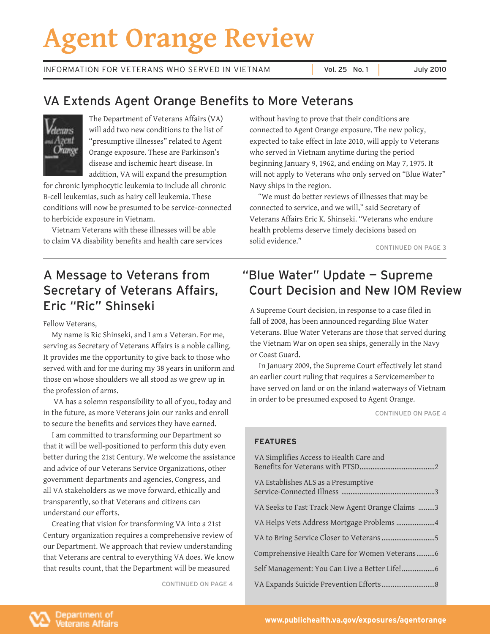# **Agent Orange Review**

INFORMATION FOR VETERANS WHO SERVED IN VIETNAM Vol. 25 No. 1 July 2010

# VA Extends Agent Orange Benefits to More Veterans



The Department of Veterans Affairs (VA) will add two new conditions to the list of "presumptive illnesses" related to Agent Orange exposure. These are Parkinson's disease and ischemic heart disease. In addition, VA will expand the presumption

for chronic lymphocytic leukemia to include all chronic B-cell leukemias, such as hairy cell leukemia. These conditions will now be presumed to be service-connected to herbicide exposure in Vietnam.

Vietnam Veterans with these illnesses will be able to claim VA disability benefits and health care services

 without having to prove that their conditions are connected to Agent Orange exposure. The new policy, expected to take effect in late 2010, will apply to Veterans who served in Vietnam anytime during the period beginning January 9, 1962, and ending on May 7, 1975. It will not apply to Veterans who only served on "Blue Water" Navy ships in the region.

"We must do better reviews of illnesses that may be connected to service, and we will," said Secretary of Veterans Affairs Eric K. Shinseki. "Veterans who endure health problems deserve timely decisions based on solid evidence."

CONTINUED ON PAGE 3

# A Message to Veterans from Secretary of Veterans Affairs, Eric "Ric" Shinseki

Fellow Veterans,

My name is Ric Shinseki, and I am a Veteran. For me, serving as Secretary of Veterans Affairs is a noble calling. It provides me the opportunity to give back to those who served with and for me during my 38 years in uniform and those on whose shoulders we all stood as we grew up in the profession of arms.

VA has a solemn responsibility to all of you, today and in the future, as more Veterans join our ranks and enroll to secure the benefits and services they have earned.

I am committed to transforming our Department so that it will be well-positioned to perform this duty even better during the 21st Century. We welcome the assistance and advice of our Veterans Service Organizations, other government departments and agencies, Congress, and all VA stakeholders as we move forward, ethically and transparently, so that Veterans and citizens can understand our efforts.

Creating that vision for transforming VA into a 21st Century organization requires a comprehensive review of our Department. We approach that review understanding that Veterans are central to everything VA does. We know that results count, that the Department will be measured

CONTINUED ON PAGE 4

# "Blue Water" Update — Supreme Court Decision and New IOM Review

A Supreme Court decision, in response to a case filed in fall of 2008, has been announced regarding Blue Water Veterans. Blue Water Veterans are those that served during the Vietnam War on open sea ships, generally in the Navy or Coast Guard.

In January 2009, the Supreme Court effectively let stand an earlier court ruling that requires a Servicemember to have served on land or on the inland waterways of Vietnam in order to be presumed exposed to Agent Orange.

CONTINUED ON PAGE 4

### **FEATURES**

| VA Simplifies Access to Health Care and          |
|--------------------------------------------------|
| VA Establishes ALS as a Presumptive              |
| VA Seeks to Fast Track New Agent Orange Claims 3 |
| VA Helps Vets Address Mortgage Problems 4        |
|                                                  |
| Comprehensive Health Care for Women Veterans6    |
|                                                  |
|                                                  |

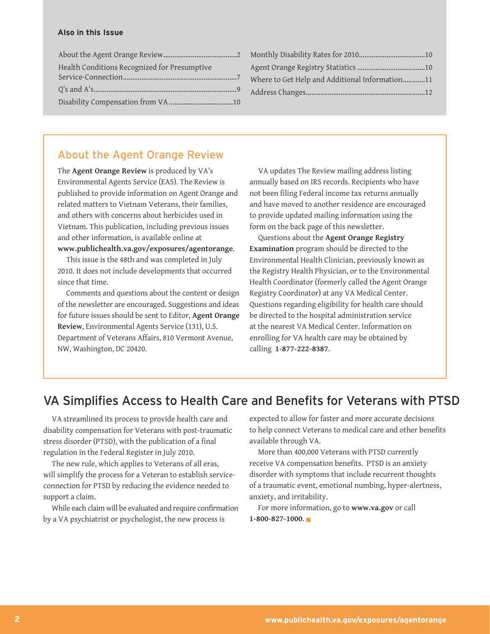#### <span id="page-1-0"></span>**Also in this Issue**

| Health Conditions Recognized for Presumptive |  |
|----------------------------------------------|--|
|                                              |  |
|                                              |  |
|                                              |  |

| Where to Get Help and Additional Information11 |  |
|------------------------------------------------|--|
|                                                |  |
|                                                |  |

### About the Agent Orange Review

The **Agent Orange Review** is produced by VA's Environmental Agents Service (EAS). The Review is published to provide information on Agent Orange and related matters to Vietnam Veterans, their families, and others with concerns about herbicides used in Vietnam. This publication, including previous issues and other information, is available online at **www.publichealth.va.gov/exposures/agentorange**.

This issue is the 48th and was completed in July 2010. It does not include developments that occurred since that time.

Comments and questions about the content or design of the newsletter are encouraged. Suggestions and ideas for future issues should be sent to Editor, **Agent Orange Review**, Environmental Agents Service (131), U.S. Department of Veterans Affairs, 810 Vermont Avenue, NW, Washington, DC 20420.

VA updates The Review mailing address listing annually based on IRS records. Recipients who have not been filing Federal income tax returns annually and have moved to another residence are encouraged to provide updated mailing information using the form on the back page of this newsletter.

Questions about the **Agent Orange Registry Examination** program should be directed to the Environmental Health Clinician, previously known as the Registry Health Physician, or to the Environmental Health Coordinator (formerly called the Agent Orange Registry Coordinator) at any VA Medical Center. Questions regarding eligibility for health care should be directed to the hospital administration service at the nearest VA Medical Center. Information on enrolling for VA health care may be obtained by calling **1-877-222-8387**.

# VA Simplifies Access to Health Care and Benefits for Veterans with PTSD

VA streamlined its process to provide health care and disability compensation for Veterans with post-traumatic stress disorder (PTSD), with the publication of a final regulation in the Federal Register in July 2010.

The new rule, which applies to Veterans of all eras, will simplify the process for a Veteran to establish serviceconnection for PTSD by reducing the evidence needed to support a claim.

While each claim will be evaluated and require confirmation by a VA psychiatrist or psychologist, the new process is

expected to allow for faster and more accurate decisions to help connect Veterans to medical care and other benefits available through VA.

More than 400,000 Veterans with PTSD currently receive VA compensation benefits. PTSD is an anxiety disorder with symptoms that include recurrent thoughts of a traumatic event, emotional numbing, hyper-alertness, anxiety, and irritability.

For more information, go to **www.va.gov** or call **1-800-827-1000**.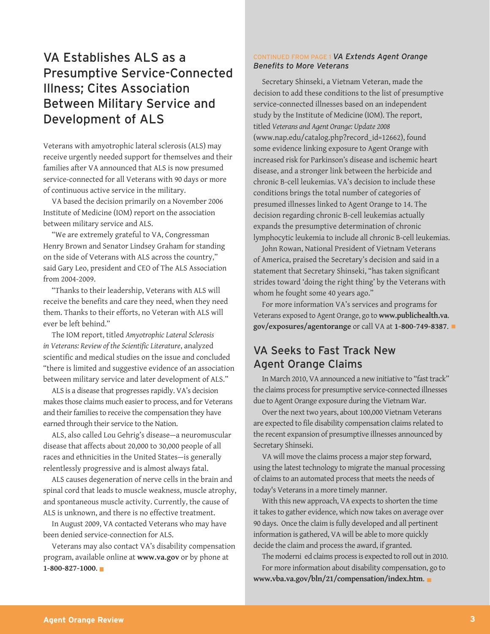### <span id="page-2-0"></span> VA Establishes ALS as a Presumptive Service-Connected Illness; Cites Association Between Military Service and Development of ALS

Veterans with amyotrophic lateral sclerosis (ALS) may receive urgently needed support for themselves and their families after VA announced that ALS is now presumed service-connected for all Veterans with 90 days or more of continuous active service in the military.

 VA based the decision primarily on a November 2006 Institute of Medicine (IOM) report on the association between military service and ALS.

"We are extremely grateful to VA, Congressman Henry Brown and Senator Lindsey Graham for standing on the side of Veterans with ALS across the country," said Gary Leo, president and CEO of The ALS Association from 2004-2009.

"Thanks to their leadership, Veterans with ALS will receive the benefits and care they need, when they need them. Thanks to their efforts, no Veteran with ALS will ever be left behind."

The IOM report, titled *Amyotrophic Lateral Sclerosis in Veterans: Review of the Scientific Literature*, analyzed scientific and medical studies on the issue and concluded "there is limited and suggestive evidence of an association between military service and later development of ALS."

ALS is a disease that progresses rapidly. VA's decision makes those claims much easier to process, and for Veterans and their families to receive the compensation they have earned through their service to the Nation.

ALS, also called Lou Gehrig's disease—a neuromuscular disease that affects about 20,000 to 30,000 people of all races and ethnicities in the United States—is generally relentlessly progressive and is almost always fatal.

ALS causes degeneration of nerve cells in the brain and spinal cord that leads to muscle weakness, muscle atrophy, and spontaneous muscle activity. Currently, the cause of ALS is unknown, and there is no effective treatment.

 In August 2009, VA contacted Veterans who may have been denied service-connection for ALS.

Veterans may also contact VA's disability compensation program, available online at **www.va.gov** or by phone at **1-800-827-1000**.

#### CONTINUED FROM PAGE 1 *VA Extends Agent Orange Benefits to More Veterans*

 study by the Institute of Medicine (IOM). The report,  some evidence linking exposure to Agent Orange with increased risk for Parkinson's disease and ischemic heart lymphocytic leukemia to include all chronic B-cell leukemias. Secretary Shinseki, a Vietnam Veteran, made the decision to add these conditions to the list of presumptive service-connected illnesses based on an independent *titled Veterans and Agent Orange: Update 2008* (www.nap.edu/catalog.php?record\_id=12662), found disease, and a stronger link between the herbicide and chronic B-cell leukemias. VA's decision to include these conditions brings the total number of categories of presumed illnesses linked to Agent Orange to 14. The decision regarding chronic B-cell leukemias actually expands the presumptive determination of chronic

John Rowan, National President of Vietnam Veterans of America, praised the Secretary's decision and said in a statement that Secretary Shinseki, "has taken significant strides toward 'doing the right thing' by the Veterans with whom he fought some 40 years ago."

 Veterans exposed to Agent Orange, go to **www.publichealth.va**. **[gov/exposures/agentorange](http://www.publichealth.va.gov/exposures/agentorange)** or call VA at **1-800-749-8387**. For more information VA's services and programs for

### VA Seeks to Fast Track New Agent Orange Claims

In March 2010, VA announced a new initiative to "fast track" the claims process for presumptive service-connected illnesses due to Agent Orange exposure during the Vietnam War.

Over the next two years, about 100,000 Vietnam Veterans are expected to file disability compensation claims related to the recent expansion of presumptive illnesses announced by Secretary Shinseki.

VA will move the claims process a major step forward, using the latest technology to migrate the manual processing of claims to an automated process that meets the needs of today's Veterans in a more timely manner.

With this new approach, VA expects to shorten the time it takes to gather evidence, which now takes on average over 90 days. Once the claim is fully developed and all pertinent information is gathered, VA will be able to more quickly decide the claim and process the award, if granted.

The moderni ed claims process is expected to roll out in 2010. For more information about disability compensation, go to **www.vba.va.gov/bln/21/compensation/index.htm**.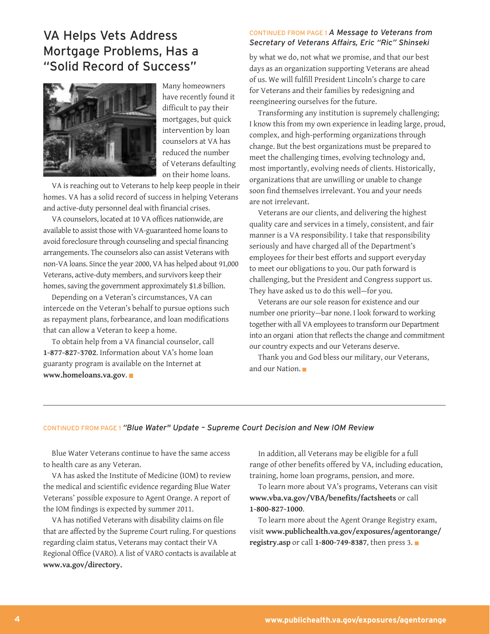### <span id="page-3-0"></span>VA Helps Vets Address Mortgage Problems, Has a "Solid Record of Success"



Many homeowners have recently found it difficult to pay their mortgages, but quick intervention by loan counselors at VA has reduced the number of Veterans defaulting on their home loans.

 VA is reaching out to Veterans to help keep people in their and active-duty personnel deal with financial crises. homes. VA has a solid record of success in helping Veterans

 VA counselors, located at 10 VA offices nationwide, are available to assist those with VA-guaranteed home loansto avoid foreclosure through counseling and special financing arrangements. The counselors also can assist Veterans with non-VA loans. Since the year 2000, VA has helped about 91,000 Veterans, active-duty members, and survivors keep their homes, saving the government approximately \$1.8 billion.

Depending on a Veteran's circumstances, VA can intercede on the Veteran's behalf to pursue options such as repayment plans, forbearance, and loan modifications that can allow a Veteran to keep a home.

To obtain help from a VA financial counselor, call **1-877-827-3702**. Information about VA's home loan guaranty program is available on the Internet at **www.homeloans.va.gov**.

#### CONTINUED FROM PAGE 1 *A Message to Veterans from Secretary of Veterans Affairs, Eric "Ric" Shinseki*

by what we do, not what we promise, and that our best days as an organization supporting Veterans are ahead of us. We will fulfill President Lincoln's charge to care for Veterans and their families by redesigning and reengineering ourselves for the future.

 I know this from my own experience in leading large, proud, Transforming any institution is supremely challenging; complex, and high-performing organizations through change. But the best organizations must be prepared to meet the challenging times, evolving technology and, most importantly, evolving needs of clients. Historically, organizations that are unwilling or unable to change soon find themselves irrelevant. You and your needs are not irrelevant.

Veterans are our clients, and delivering the highest quality care and services in a timely, consistent, and fair manner is a VA responsibility. I take that responsibility seriously and have charged all of the Department's employees for their best efforts and support everyday to meet our obligations to you. Our path forward is challenging, but the President and Congress support us. They have asked us to do this well—for you.

 Veterans are our sole reason for existence and our number one priority—bar none. I look forward to working together with all VA employees to transform our Department into an organi ation that reflects the change and commitment our country expects and our Veterans deserve.

Thank you and God bless our military, our Veterans, and our Nation.

#### CONTINUED FROM PAGE 1 *"Blue Water" Update – Supreme Court Decision and New IOM Review*

Blue Water Veterans continue to have the same access to health care as any Veteran.

VA has asked the Institute of Medicine (IOM) to review the medical and scientific evidence regarding Blue Water Veterans' possible exposure to Agent Orange. A report of the IOM findings is expected by summer 2011.

 VA has notified Veterans with disability claims on file that are affected by the Supreme Court ruling. For questions regarding claim status, Veterans may contact their VA Regional Office (VARO). A list of VARO contacts is available at **www.va.gov/directory.**

In addition, all Veterans may be eligible for a full range of other benefits offered by VA, including education, training, home loan programs, pension, and more.

To learn more about VA's programs, Veterans can visit **www.vba.va.gov/VBA/benefits/factsheets** or call **1-800-827-1000**.

 To learn more about the Agent Orange Registry exam, **[registry.asp](www.publichealth.va.gov/exposures/agentorange/registry.asp)** or call **1-800-749-8387**, then press 3. visit **www.publichealth.va.gov/exposures/agentorange/**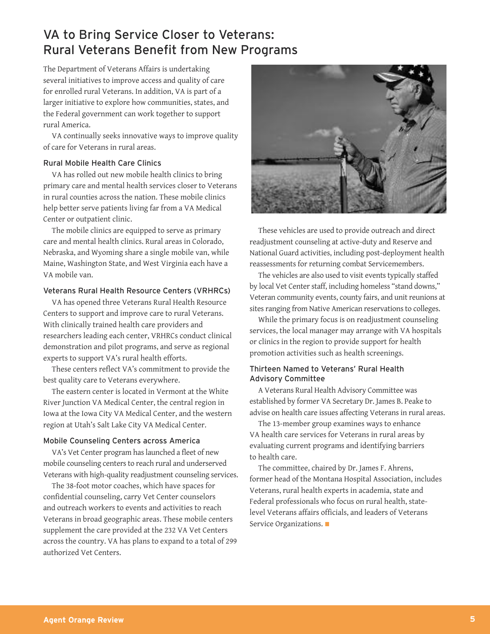# <span id="page-4-0"></span>VA to Bring Service Closer to Veterans: Rural Veterans Benefit from New Programs

The Department of Veterans Affairs is undertaking several initiatives to improve access and quality of care for enrolled rural Veterans. In addition, VA is part of a larger initiative to explore how communities, states, and the Federal government can work together to support rural America.

VA continually seeks innovative ways to improve quality of care for Veterans in rural areas.

#### Rural Mobile Health Care Clinics

VA has rolled out new mobile health clinics to bring primary care and mental health services closer to Veterans in rural counties across the nation. These mobile clinics help better serve patients living far from a VA Medical Center or outpatient clinic.

The mobile clinics are equipped to serve as primary care and mental health clinics. Rural areas in Colorado, Nebraska, and Wyoming share a single mobile van, while Maine, Washington State, and West Virginia each have a VA mobile van.

#### Veterans Rural Health Resource Centers (VRHRCs)

VA has opened three Veterans Rural Health Resource Centers to support and improve care to rural Veterans. With clinically trained health care providers and researchers leading each center, VRHRCs conduct clinical demonstration and pilot programs, and serve as regional experts to support VA's rural health efforts.

These centers reflect VA's commitment to provide the best quality care to Veterans everywhere.

The eastern center is located in Vermont at the White River Junction VA Medical Center, the central region in Iowa at the Iowa City VA Medical Center, and the western region at Utah's Salt Lake City VA Medical Center.

#### Mobile Counseling Centers across America

VA's Vet Center program has launched a fleet of new mobile counseling centers to reach rural and underserved Veterans with high-quality readjustment counseling services.

The 38-foot motor coaches, which have spaces for confidential counseling, carry Vet Center counselors and outreach workers to events and activities to reach Veterans in broad geographic areas. These mobile centers supplement the care provided at the 232 VA Vet Centers across the country. VA has plans to expand to a total of 299 authorized Vet Centers.



 These vehicles are used to provide outreach and direct readjustment counseling at active-duty and Reserve and National Guard activities, including post-deployment health reassessments for returning combat Servicemembers.

The vehicles are also used to visit events typically staffed by local Vet Center staff, including homeless "stand downs," Veteran community events, county fairs, and unit reunions at sites ranging from Native American reservations to colleges.

While the primary focus is on readjustment counseling services, the local manager may arrange with VA hospitals or clinics in the region to provide support for health promotion activities such as health screenings.

#### Thirteen Named to Veterans' Rural Health Advisory Committee

 A Veterans Rural Health Advisory Committee was established by former VA Secretary Dr. James B. Peake to advise on health care issues affecting Veterans in rural areas.

The 13-member group examines ways to enhance VA health care services for Veterans in rural areas by evaluating current programs and identifying barriers to health care.

The committee, chaired by Dr. James F. Ahrens, former head of the Montana Hospital Association, includes Veterans, rural health experts in academia, state and Federal professionals who focus on rural health, statelevel Veterans affairs officials, and leaders of Veterans Service Organizations.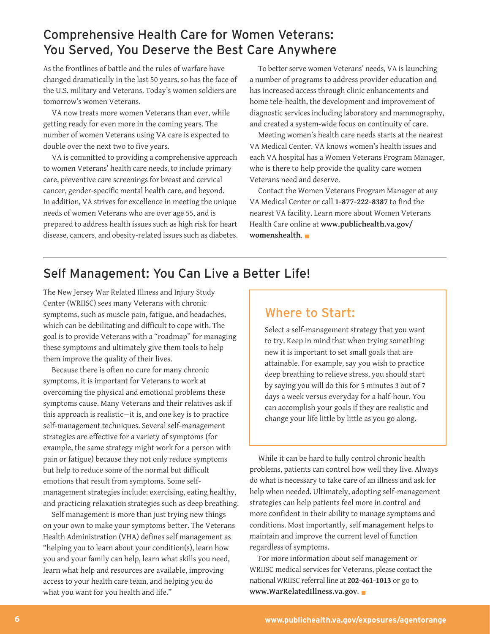### <span id="page-5-0"></span>Comprehensive Health Care for Women Veterans: You Served, You Deserve the Best Care Anywhere

As the frontlines of battle and the rules of warfare have changed dramatically in the last 50 years, so has the face of the U.S. military and Veterans. Today's women soldiers are tomorrow's women Veterans.

VA now treats more women Veterans than ever, while getting ready for even more in the coming years. The number of women Veterans using VA care is expected to double over the next two to five years.

 VA is committed to providing a comprehensive approach to women Veterans' health care needs, to include primary care, preventive care screenings for breast and cervical cancer, gender-specific mental health care, and beyond. In addition, VA strives for excellence in meeting the unique needs of women Veterans who are over age 55, and is prepared to address health issues such as high risk for heart disease, cancers, and obesity-related issues such as diabetes.

 To better serve women Veterans' needs, VA is launching diagnostic services including laboratory and mammography, a number of programs to address provider education and has increased access through clinic enhancements and home tele-health, the development and improvement of and created a system-wide focus on continuity of care.

Meeting women's health care needs starts at the nearest VA Medical Center. VA knows women's health issues and each VA hospital has a Women Veterans Program Manager, who is there to help provide the quality care women Veterans need and deserve.

Contact the Women Veterans Program Manager at any VA Medical Center or call **1-877-222-8387** to find the nearest VA facility. Learn more about Women Veterans Health Care online at **www.publichealth.va.gov/ [womenshealth](http://www.publichealth.va.gov/womenshealth)**.

# Self Management: You Can Live a Better Life!

 which can be debilitating and difficult to cope with. The goal is to provide Veterans with a "roadmap" for managing The New Jersey War Related Illness and Injury Study Center (WRIISC) sees many Veterans with chronic symptoms, such as muscle pain, fatigue, and headaches, these symptoms and ultimately give them tools to help them improve the quality of their lives.

Because there is often no cure for many chronic symptoms, it is important for Veterans to work at overcoming the physical and emotional problems these symptoms cause. Many Veterans and their relatives ask if this approach is realistic—it is, and one key is to practice self-management techniques. Several self-management strategies are effective for a variety of symptoms (for example, the same strategy might work for a person with pain or fatigue) because they not only reduce symptoms but help to reduce some of the normal but difficult emotions that result from symptoms. Some selfmanagement strategies include: exercising, eating healthy, and practicing relaxation strategies such as deep breathing.

Self management is more than just trying new things on your own to make your symptoms better. The Veterans Health Administration (VHA) defines self management as "helping you to learn about your condition(s), learn how you and your family can help, learn what skills you need, learn what help and resources are available, improving access to your health care team, and helping you do what you want for you health and life."

### Where to Start:

Select a self-management strategy that you want to try. Keep in mind that when trying something new it is important to set small goals that are attainable. For example, say you wish to practice deep breathing to relieve stress, you should start by saying you will do this for 5 minutes 3 out of 7 days a week versus everyday for a half-hour. You can accomplish your goals if they are realistic and change your life little by little as you go along.

While it can be hard to fully control chronic health problems, patients can control how well they live. Always do what is necessary to take care of an illness and ask for help when needed. Ultimately, adopting self-management strategies can help patients feel more in control and more confident in their ability to manage symptoms and conditions. Most importantly, self management helps to maintain and improve the current level of function regardless of symptoms.

WRIISC medical services for Veterans, please contact the national WRIISC referral line at **202-461-1013** or go to For more information about self management or **www.WarRelatedIllness.va.gov**.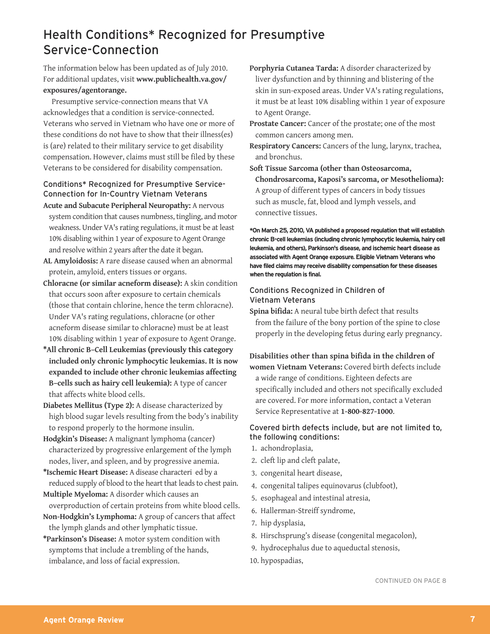# <span id="page-6-0"></span>Health Conditions\* Recognized for Presumptive Service-Connection

The information below has been updated as of July 2010. For additional updates, visit **www.publichealth.va.gov/ [exposures/agentorange.](http://www.publichealth.va.gov/exposures/agentorange)**

Presumptive service-connection means that VA acknowledges that a condition is service-connected. Veterans who served in Vietnam who have one or more of these conditions do not have to show that their illness(es) is (are) related to their military service to get disability compensation. However, claims must still be filed by these Veterans to be considered for disability compensation.

### Conditions\* Recognized for Presumptive Service-Connection for In-Country Vietnam Veterans

- **Acute and Subacute Peripheral Neuropathy:** A nervous system condition that causes numbness, tingling, and motor weakness. Under VA'srating regulations, it must be at least 10% disabling within 1 year of exposure to Agent Orange and resolve within 2 years after the date it began.
- **AL Amyloidosis:** A rare disease caused when an abnormal protein, amyloid, enters tissues or organs.
- **Chloracne (or similar acneform disease):** A skin condition that occurs soon after exposure to certain chemicals (those that contain chlorine, hence the term chloracne). Under VA's rating regulations, chloracne (or other acneform disease similar to chloracne) must be at least 10% disabling within 1 year of exposure to Agent Orange.
- **\*All chronic B–Cell Leukemias (previously this category included only chronic lymphocytic leukemias. It is now expanded to include other chronic leukemias affecting B–cells such as hairy cell leukemia):** A type of cancer that affects white blood cells.
- **Diabetes Mellitus (Type 2):** A disease characterized by high blood sugar levels resulting from the body's inability to respond properly to the hormone insulin.
- **Hodgkin's Disease:** A malignant lymphoma (cancer) characterized by progressive enlargement of the lymph nodes, liver, and spleen, and by progressive anemia.
- **\*Ischemic Heart Disease:** A disease characterized by a reduced supply of blood to the heart that leads to chest pain.
- **Multiple Myeloma:** A disorder which causes an overproduction of certain proteins from white blood cells.
- **Non-Hodgkin's Lymphoma:** A group of cancers that affect the lymph glands and other lymphatic tissue.
- **\*Parkinson's Disease:** A motor system condition with symptoms that include a trembling of the hands, imbalance, and loss of facial expression.
- **Porphyria Cutanea Tarda:** A disorder characterized by liver dysfunction and by thinning and blistering of the skin in sun-exposed areas. Under VA's rating regulations, it must be at least 10% disabling within 1 year of exposure to Agent Orange.
- **Prostate Cancer:** Cancer of the prostate; one of the most common cancers among men.
- **Respiratory Cancers:** Cancers of the lung, larynx, trachea, and bronchus.
- **Soft Tissue Sarcoma (other than Osteosarcoma, Chondrosarcoma, Kaposi's sarcoma, or Mesothelioma):** A group of different types of cancers in body tissues such as muscle, fat, blood and lymph vessels, and

connective tissues.

 **\*On March25,2010, VA published a proposed regulation that will establish chronic Bcell leukemias (including chronic lymphocytic leukemia, hairy cell leukemia, and others),Parkinson's disease, and ischemic heart disease as associated with Agent Orange exposure.Eligible Vietnam Veterans who have filed claims may receive disability compensation for these diseases when the regulation is final.**

### Conditions Recognized in Children of Vietnam Veterans

**Spina bifida:** A neural tube birth defect that results from the failure of the bony portion of the spine to close properly in the developing fetus during early pregnancy.

**Disabilities other than spina bifida in the children of**

**women Vietnam Veterans:** Covered birth defects include a wide range of conditions. Eighteen defects are specifically included and others not specifically excluded are covered. For more information, contact a Veteran Service Representative at **1-800-827-1000**.

### Covered birth defects include, but are not limited to, the following conditions:

- 1. achondroplasia,
- 2. cleft lip and cleft palate,
- 3. congenital heart disease,
- 4. congenital talipes equinovarus (clubfoot),
- 5. esophageal and intestinal atresia,
- 6. Hallerman-Streiff syndrome,
- 7. hip dysplasia,
- 8. Hirschsprung's disease (congenital megacolon),
- 9. hydrocephalus due to aqueductal stenosis,
- 10. hypospadias,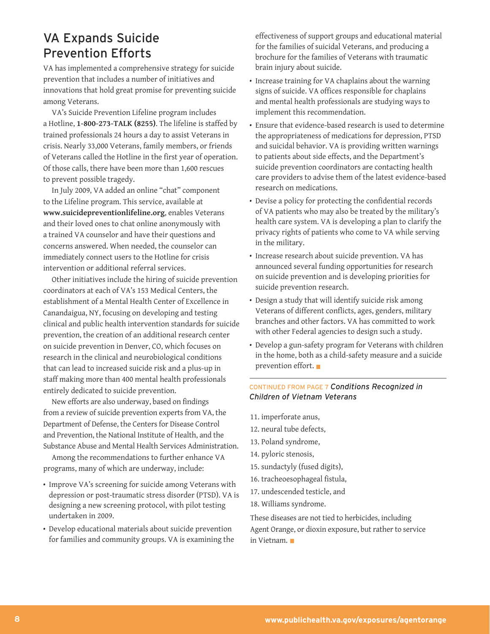### <span id="page-7-0"></span>VA Expands Suicide Prevention Efforts

VA has implemented a comprehensive strategy for suicide prevention that includes a number of initiatives and innovations that hold great promise for preventing suicide among Veterans.

VA's Suicide Prevention Lifeline program includes a Hotline, **1-800-273-TALK (8255)**. The lifeline is staffed by trained professionals 24 hours a day to assist Veterans in crisis. Nearly 33,000 Veterans, family members, or friends of Veterans called the Hotline in the first year of operation. Of those calls, there have been more than 1,600 rescues to prevent possible tragedy.

In July 2009, VA added an online "chat" component to the Lifeline program. This service, available at **www.suicidepreventionlifeline.org**, enables Veterans and their loved ones to chat online anonymously with a trained VA counselor and have their questions and concerns answered. When needed, the counselor can immediately connect users to the Hotline for crisis intervention or additional referral services.

Other initiatives include the hiring of suicide prevention coordinators at each of VA's 153 Medical Centers, the establishment of a Mental Health Center of Excellence in Canandaigua, NY, focusing on developing and testing clinical and public health intervention standards for suicide prevention, the creation of an additional research center on suicide prevention in Denver, CO, which focuses on research in the clinical and neurobiological conditions that can lead to increased suicide risk and a plus-up in staff making more than 400 mental health professionals entirely dedicated to suicide prevention.

New efforts are also underway, based on findings from a review of suicide prevention experts from VA, the Department of Defense, the Centers for Disease Control and Prevention, the National Institute of Health, and the Substance Abuse and Mental Health Services Administration.

Among the recommendations to further enhance VA programs, many of which are underway, include:

- Improve VA's screening for suicide among Veterans with depression or post-traumatic stress disorder (PTSD). VA is designing a new screening protocol, with pilot testing undertaken in 2009.
- Develop educational materials about suicide prevention for families and community groups. VA is examining the

effectiveness of support groups and educational material for the families of suicidal Veterans, and producing a brochure for the families of Veterans with traumatic brain injury about suicide.

- Increase training for VA chaplains about the warning signs of suicide. VA offices responsible for chaplains and mental health professionals are studying ways to implement this recommendation.
- Ensure that evidence-based research is used to determine the appropriateness of medications for depression, PTSD and suicidal behavior. VA is providing written warnings to patients about side effects, and the Department's suicide prevention coordinators are contacting health care providers to advise them of the latest evidence-based research on medications.
- Devise a policy for protecting the confidential records of VA patients who may also be treated by the military's health care system. VA is developing a plan to clarify the privacy rights of patients who come to VA while serving in the military.
- Increase research about suicide prevention. VA has announced several funding opportunities for research on suicide prevention and is developing priorities for suicide prevention research.
- Design a study that will identify suicide risk among Veterans of different conflicts, ages, genders, military branches and other factors. VA has committed to work with other Federal agencies to design such a study.
- Develop a gun-safety program for Veterans with children in the home, both as a child-safety measure and a suicide prevention effort.

### CONTINUED FROM PAGE 7 *Conditions Recognized in Children of Vietnam Veterans*

11. imperforate anus,

- 12. neural tube defects,
- 13. Poland syndrome,
- 14. pyloric stenosis,
- 15. sundactyly (fused digits),
- 16. tracheoesophageal fistula,
- 17. undescended testicle, and
- 18. Williams syndrome.

These diseases are not tied to herbicides, including Agent Orange, or dioxin exposure, but rather to service in Vietnam.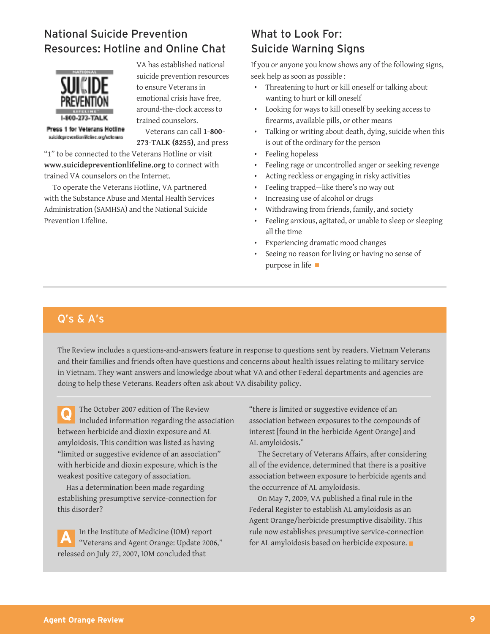### <span id="page-8-0"></span>National Suicide Prevention Resources: Hotline and Online Chat



VA has established national suicide prevention resources to ensure Veterans in emotional crisis have free, around-the-clock access to trained counselors.

Press 1 for Veterans Hotline suicidepreventionifieline.org/velenans

Veterans can call **1-800- 273-TALK (8255)**, and press

"1" to be connected to the Veterans Hotline or visit **www.suicidepreventionlifeline.org** to connect with trained VA counselors on the Internet.

To operate the Veterans Hotline, VA partnered with the Substance Abuse and Mental Health Services Administration (SAMHSA) and the National Suicide Prevention Lifeline.

### What to Look For: Suicide Warning Signs

If you or anyone you know shows any of the following signs, seek help as soon as possible :

- Threatening to hurt or kill oneself or talking about wanting to hurt or kill oneself
- Looking for ways to kill oneself by seeking access to firearms, available pills, or other means
- Talking or writing about death, dying, suicide when this is out of the ordinary for the person
- Feeling hopeless
- Feeling rage or uncontrolled anger or seeking revenge
- Acting reckless or engaging in risky activities
- Feeling trapped—like there's no way out
- Increasing use of alcohol or drugs
- Withdrawing from friends, family, and society
- Feeling anxious, agitated, or unable to sleep or sleeping all the time
- Experiencing dramatic mood changes
- Seeing no reason for living or having no sense of purpose in life

### Q's & A's

The Review includes a questions-and-answers feature in response to questions sent by readers. Vietnam Veterans and their families and friends often have questions and concerns about health issues relating to military service in Vietnam. They want answers and knowledge about what VA and other Federal departments and agencies are doing to help these Veterans. Readers often ask about VA disability policy.

**Q** The October 2007 edition of The Review included information regarding the association between herbicide and dioxin exposure and AL amyloidosis. This condition was listed as having "limited or suggestive evidence of an association" with herbicide and dioxin exposure, which is the weakest positive category of association.

Has a determination been made regarding establishing presumptive service-connection for this disorder?

**A** In the Institute of Medicine (IOM) report<br>"Veterans and Agent Orange: Update 2006," released on July 27, 2007, IOM concluded that

"there is limited or suggestive evidence of an association between exposures to the compounds of interest [found in the herbicide Agent Orange] and AL amyloidosis."

The Secretary of Veterans Affairs, after considering all of the evidence, determined that there is a positive association between exposure to herbicide agents and the occurrence of AL amyloidosis.

On May 7, 2009, VA published a final rule in the Federal Register to establish AL amyloidosis as an Agent Orange/herbicide presumptive disability. This rule now establishes presumptive service-connection for AL amyloidosis based on herbicide exposure.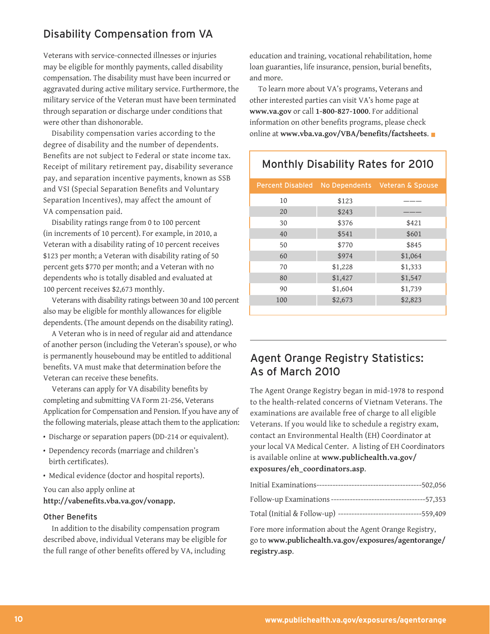### <span id="page-9-0"></span>Disability Compensation from VA

Veterans with service-connected illnesses or injuries may be eligible for monthly payments, called disability compensation. The disability must have been incurred or aggravated during active military service. Furthermore, the military service of the Veteran must have been terminated through separation or discharge under conditions that were other than dishonorable.

Disability compensation varies according to the degree of disability and the number of dependents. Benefits are not subject to Federal or state income tax. Receipt of military retirement pay, disability severance pay, and separation incentive payments, known as SSB and VSI (Special Separation Benefits and Voluntary Separation Incentives), may affect the amount of VA compensation paid.

Disability ratings range from 0 to 100 percent (in increments of 10 percent). For example, in 2010, a Veteran with a disability rating of 10 percent receives \$123 per month; a Veteran with disability rating of 50 percent gets \$770 per month; and a Veteran with no dependents who is totally disabled and evaluated at 100 percent receives \$2,673 monthly.

Veterans with disability ratings between 30 and 100 percent also may be eligible for monthly allowances for eligible dependents. (The amount depends on the disability rating).

A Veteran who is in need of regular aid and attendance of another person (including the Veteran's spouse), or who is permanently housebound may be entitled to additional benefits. VA must make that determination before the Veteran can receive these benefits.

Veterans can apply for VA disability benefits by completing and submitting VA Form 21-256, Veterans Application for Compensation and Pension. If you have any of the following materials, please attach them to the application:

- Discharge or separation papers (DD-214 or equivalent).
- Dependency records (marriage and children's birth certificates).
- Medical evidence (doctor and hospital reports).

You can also apply online at **http://vabenefits.vba.va.gov/vonapp.**

#### Other Benefits

In addition to the disability compensation program described above, individual Veterans may be eligible for the full range of other benefits offered by VA, including

education and training, vocational rehabilitation, home loan guaranties, life insurance, pension, burial benefits, and more.

To learn more about VA's programs, Veterans and other interested parties can visit VA's home page at **www.va.gov** or call **1-800-827-1000**. For additional information on other benefits programs, please check online at **www.vba.va.gov/VBA/benefits/factsheets**.

# Monthly Disability Rates for 2010

| <b>Percent Disabled</b> |                    | No Dependents Veteran & Spouse |
|-------------------------|--------------------|--------------------------------|
| 10                      | \$123              |                                |
| 20                      | \$243              |                                |
| 30                      | \$376              | \$421                          |
| 40                      | \$541              | \$601                          |
| 50                      | \$770              | \$845                          |
| 60                      | \$974              | \$1,064                        |
| 70                      | \$1,228            | \$1,333                        |
| 80                      | \$1,427            | \$1,547                        |
| 90                      | \$1,604<br>\$1,739 |                                |
| 100                     | \$2,673<br>\$2,823 |                                |
|                         |                    |                                |

### Agent Orange Registry Statistics: As of March 2010

 The Agent Orange Registry began in mid-1978 to respond to the health-related concerns of Vietnam Veterans. The examinations are available free of charge to all eligible Veterans. If you would like to schedule a registry exam, contact an Environmental Health (EH) Coordinator at your local VA Medical Center. A listing of EH Coordinators is available online at **www.publichealth.va.gov/ [exposures/eh\\_coordinators.asp](http://www.publichealth.va.gov/exposures/eh_coordinators.asp)**.

| $-502,056$                                                         |
|--------------------------------------------------------------------|
|                                                                    |
| Total (Initial & Follow-up) -------------------------------559,409 |
| Fore more information about the Agent Orange Registry,             |
|                                                                    |

 go to **www.publichealth.va.gov/exposures/agentorange/ [registry.asp](http://www.publichealth.va.gov/exposures/agentorange/registry.asp)**.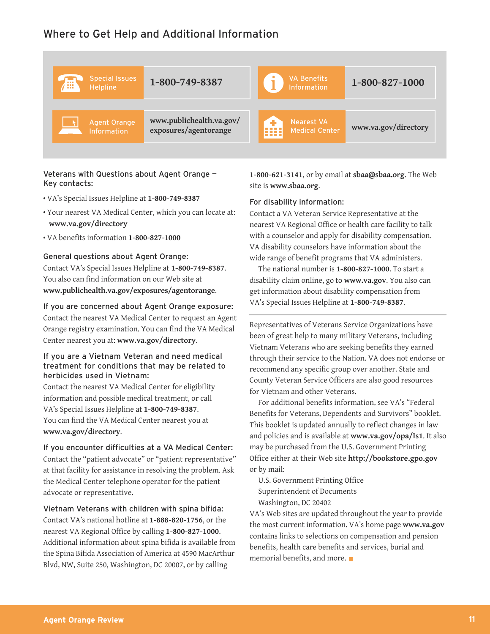### <span id="page-10-0"></span>Where to Get Help and Additional Information



#### Veterans with Questions about Agent Orange — Key contacts:

- VA's Special Issues Helpline at **1-800-749-8387**
- Your nearest VA Medical Center, which you can locate at: **www.va.gov/directory**
- VA benefits information **1-800-827-1000**

#### General questions about Agent Orange:

Contact VA's Special Issues Helpline at **1-800-749-8387**. You also can find information on our Web site at **www.publichealth.va.gov/exposures/agentorange**.

If you are concerned about Agent Orange exposure: Contact the nearest VA Medical Center to request an Agent Orange registry examination. You can find the VA Medical Center nearest you at: **www.va.gov/directory**.

#### If you are a Vietnam Veteran and need medical treatment for conditions that may be related to herbicides used in Vietnam:

Contact the nearest VA Medical Center for eligibility information and possible medical treatment, or call VA's Special Issues Helpline at **1-800-749-8387**. You can find the VA Medical Center nearest you at **www.va.gov/directory**.

If you encounter difficulties at a VA Medical Center: Contact the "patient advocate" or "patient representative" at that facility for assistance in resolving the problem. Ask the Medical Center telephone operator for the patient advocate or representative.

Vietnam Veterans with children with spina bifida: Contact VA's national hotline at **1-888-820-1756**, or the nearest VA Regional Office by calling **1-800-827-1000**. Additional information about spina bifida is available from the Spina Bifida Association of America at 4590 MacArthur Blvd, NW, Suite 250, Washington, DC 20007, or by calling

**1-800-621-3141**, or by email at **sbaa@sbaa.org**. The Web site is **www.sbaa.org**.

#### For disability information:

Contact a VA Veteran Service Representative at the nearest VA Regional Office or health care facility to talk with a counselor and apply for disability compensation. VA disability counselors have information about the wide range of benefit programs that VA administers.

The national number is **1-800-827-1000**. To start a disability claim online, go to **www.va.gov**. You also can get information about disability compensation from VA's Special Issues Helpline at **1-800-749-8387**.

Representatives of Veterans Service Organizations have been of great help to many military Veterans, including Vietnam Veterans who are seeking benefits they earned through their service to the Nation. VA does not endorse or recommend any specific group over another. State and County Veteran Service Officers are also good resources for Vietnam and other Veterans.

For additional benefits information, see VA's "Federal Benefits for Veterans, Dependents and Survivors" booklet. This booklet is updated annually to reflect changes in law and policies and is available at **www.va.gov/opa/Is1**. It also may be purchased from the U.S. Government Printing Office either at their Web site **http://bookstore.gpo.gov** or by mail:

U.S. Government Printing Office Superintendent of Documents Washington, DC 20402

 the most current information. VA's home page **www.va.gov** VA's Web sites are updated throughout the year to provide contains links to selections on compensation and pension benefits, health care benefits and services, burial and memorial benefits, and more.